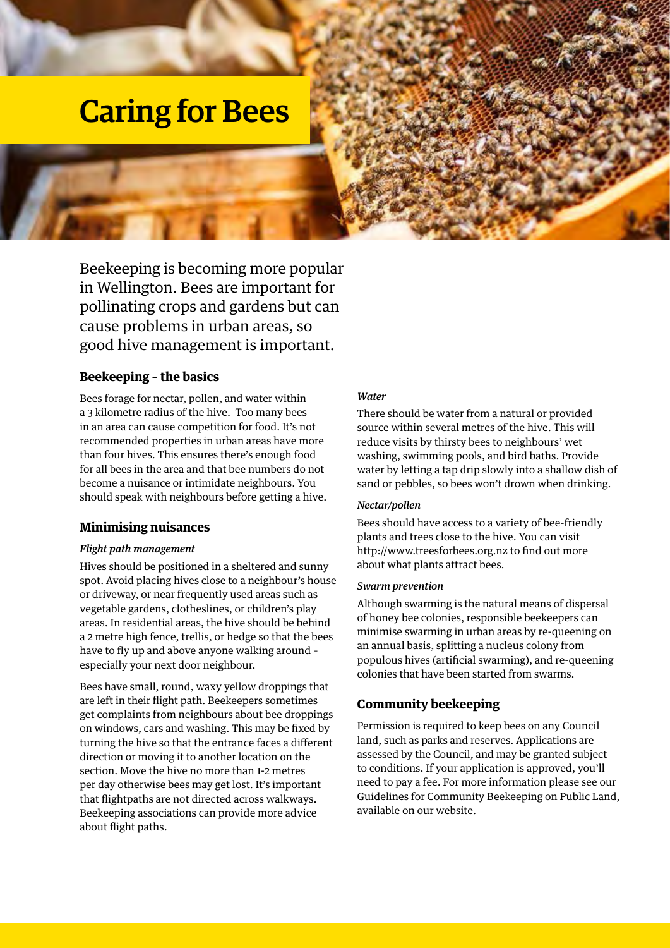# Caring for Bees

Beekeeping is becoming more popular in Wellington. Bees are important for pollinating crops and gardens but can cause problems in urban areas, so good hive management is important.

## **Beekeeping – the basics**

Bees forage for nectar, pollen, and water within a 3 kilometre radius of the hive. Too many bees in an area can cause competition for food. It's not recommended properties in urban areas have more than four hives. This ensures there's enough food for all bees in the area and that bee numbers do not become a nuisance or intimidate neighbours. You should speak with neighbours before getting a hive.

#### **Minimising nuisances**

#### *Flight path management*

Hives should be positioned in a sheltered and sunny spot. Avoid placing hives close to a neighbour's house or driveway, or near frequently used areas such as vegetable gardens, clotheslines, or children's play areas. In residential areas, the hive should be behind a 2 metre high fence, trellis, or hedge so that the bees have to fly up and above anyone walking around – especially your next door neighbour.

Bees have small, round, waxy yellow droppings that are left in their flight path. Beekeepers sometimes get complaints from neighbours about bee droppings on windows, cars and washing. This may be fixed by turning the hive so that the entrance faces a different direction or moving it to another location on the section. Move the hive no more than 1-2 metres per day otherwise bees may get lost. It's important that flightpaths are not directed across walkways. Beekeeping associations can provide more advice about flight paths.

#### *Water*

There should be water from a natural or provided source within several metres of the hive. This will reduce visits by thirsty bees to neighbours' wet washing, swimming pools, and bird baths. Provide water by letting a tap drip slowly into a shallow dish of sand or pebbles, so bees won't drown when drinking.

#### *Nectar/pollen*

Bees should have access to a variety of bee-friendly plants and trees close to the hive. You can visit http://www.treesforbees.org.nz to find out more about what plants attract bees.

#### *Swarm prevention*

Although swarming is the natural means of dispersal of honey bee colonies, responsible beekeepers can minimise swarming in urban areas by re-queening on an annual basis, splitting a nucleus colony from populous hives (artificial swarming), and re-queening colonies that have been started from swarms.

## **Community beekeeping**

Permission is required to keep bees on any Council land, such as parks and reserves. Applications are assessed by the Council, and may be granted subject to conditions. If your application is approved, you'll need to pay a fee. For more information please see our Guidelines for Community Beekeeping on Public Land, available on our website.